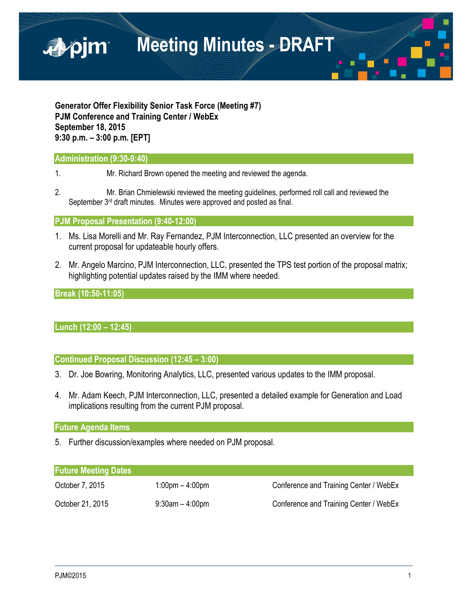

**Generator Offer Flexibility Senior Task Force (Meeting #7) PJM Conference and Training Center / WebEx September 18, 2015 9:30 p.m. – 3:00 p.m. [EPT]**

### **Administration (9:30-9:40)**

- 1. Mr. Richard Brown opened the meeting and reviewed the agenda.
- 2. Mr. Brian Chmielewski reviewed the meeting guidelines, performed roll call and reviewed the September 3<sup>rd</sup> draft minutes. Minutes were approved and posted as final.

### **PJM Proposal Presentation (9:40-12:00)**

- 1. Ms. Lisa Morelli and Mr. Ray Fernandez, PJM Interconnection, LLC presented an overview for the current proposal for updateable hourly offers.
- 2. Mr. Angelo Marcino, PJM Interconnection, LLC, presented the TPS test portion of the proposal matrix; highlighting potential updates raised by the IMM where needed.

### **Break (10:50-11:05)**

## **Lunch (12:00 – 12:45)**

**Continued Proposal Discussion (12:45 – 3:00)**

- 3. Dr. Joe Bowring, Monitoring Analytics, LLC, presented various updates to the IMM proposal.
- 4. Mr. Adam Keech, PJM Interconnection, LLC, presented a detailed example for Generation and Load implications resulting from the current PJM proposal.

#### **Future Agenda Items**

5. Further discussion/examples where needed on PJM proposal.

#### **Future Meeting Dates**

| October 7, 2015  | $1:00 \text{pm} - 4:00 \text{pm}$ | Conference and Training Center / WebEx |
|------------------|-----------------------------------|----------------------------------------|
| October 21, 2015 | $9:30$ am – 4:00pm                | Conference and Training Center / WebEx |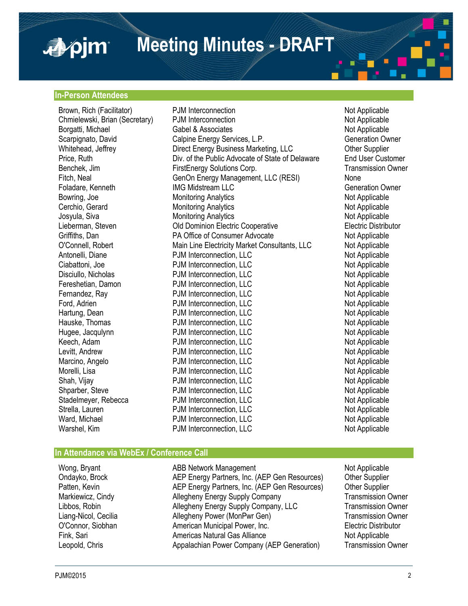# **Meeting Minutes - DRAFT**

#### **In-Person Attendees**

■pim

Brown, Rich (Facilitator) **PJM Interconnection** Not Applicable Chmielewski, Brian (Secretary) PJM Interconnection Not Applicable Not Applicable Borgatti, Michael **Gabel & Associates** Capel & Associates Not Applicable Not Applicable<br>
Scarpignato, David Calpine Energy Services, L.P. Contraction Owner Calpine Energy Services, L.P. Whitehead, Jeffrey **Direct Energy Business Marketing, LLC** Other Supplier Price, Ruth Div. of the Public Advocate of State of Delaware End User Customer Benchek, Jim **FirstEnergy Solutions Corp.** Transmission Owner<br>Fitch. Neal **FirstEngle Corp.** GenOn Energy Management. LLC (RESI) None GenOn Energy Management, LLC (RESI) None Foladare, Kenneth **IMG Midstream LLC** Generation Owner Bowring, Joe **Monitoring Analytics** Not Applicable Not Applicable Cerchio, Gerard **Monitoring Analytics** Not Applicable Not Applicable Josyula, Siva **Monitoring Analytics** Monitoring Analytics Not Applicable Lieberman, Steven **Connecter Cooperative** Clectric Cooperative Electric Distributor<br>
Griffiths. Dan **Clectric Cooperative** Consumer Advocate **Connecte Clectric Distributor**<br>
Old Dominion Electric Cooperative Connecte Not A PA Office of Consumer Advocate Not Applicable O'Connell, Robert **Main Line Electricity Market Consultants**, LLC Not Applicable Antonelli, Diane **PJM Interconnection, LLC** Not Applicable Ciabattoni, Joe **PJM Interconnection, LLC** Not Applicable Not Applicable<br>Disciullo. Nicholas PJM Interconnection. LLC Disciullo, Nicholas **PJM** Interconnection, LLC Fereshetian, Damon **PJM Interconnection, LLC** Not Applicable Fernandez, Ray **PJM Interconnection, LLC** Not Applicable Ford, Adrien<br>Ford, Adrien **PJM Interconnection, LLC** Not Applicable Ford, Adrien **PJM** Interconnection, LLC Hartung, Dean **Not Applicable** PJM Interconnection, LLC Not Applicable Not Applicable Hauske, Thomas **PJM Interconnection, LLC** Not Applicable Hugee, Jacqulynn **PJM Interconnection, LLC** Not Applicable Keech, Adam PJM Interconnection, LLC Not Applicable Levitt, Andrew **PJM** Interconnection, LLC Marcino, Angelo **Not Applicable** PJM Interconnection, LLC Not Applicable Morelli, Lisa **Not Applicable** PJM Interconnection, LLC Not Applicable Shah, Vijay **PJM Interconnection, LLC** Not Applicable Shparber, Steve PJM Interconnection, LLC Not Applicable Stadelmeyer, Rebecca **PJM Interconnection, LLC**<br>
Strella, Lauren **Not Applicable**<br>
PJM Interconnection, LLC<br>
Not Applicable PJM Interconnection, LLC Ward, Michael **Not Applicable** PJM Interconnection, LLC Not Applicable Warshel, Kim **PJM Interconnection, LLC** Not Applicable

#### **In Attendance via WebEx / Conference Call**

Wong, Bryant **ABB Network Management** ABB Network Management Ondayko, Brock AEP Energy Partners, Inc. (AEP Gen Resources) Other Supplier Patten, Kevin **AEP Energy Partners, Inc. (AEP Gen Resources)** Other Supplier<br>Markiewicz, Cindy **Allegheny Energy Supply Company** Transmission Owner Markiewicz, Cindy **Allegheny Energy Supply Company** Libbos, Robin Allegheny Energy Supply Company, LLC Transmission Owner Liang-Nicol, Cecilia Allegheny Power (MonPwr Gen) Transmission Owner O'Connor, Siobhan American Municipal Power, Inc. Electric Distributor Fink, Sari **Americas Natural Gas Alliance** Not Applicable Not Applicable Leopold, Chris Appalachian Power Company (AEP Generation) Transmission Owner